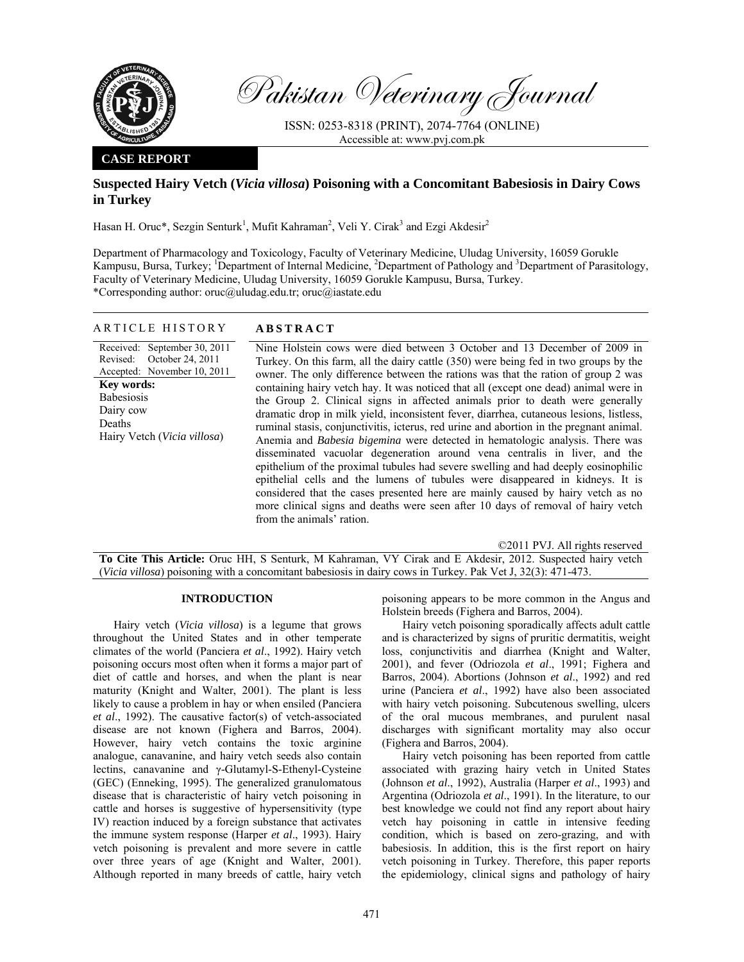

Pakistan Veterinary Journal

ISSN: 0253-8318 (PRINT), 2074-7764 (ONLINE) Accessible at: www.pvj.com.pk

### **CASE REPORT**

# **Suspected Hairy Vetch (***Vicia villosa***) Poisoning with a Concomitant Babesiosis in Dairy Cows in Turkey**

Hasan H. Oruc\*, Sezgin Senturk<sup>1</sup>, Mufit Kahraman<sup>2</sup>, Veli Y. Cirak<sup>3</sup> and Ezgi Akdesir<sup>2</sup>

Department of Pharmacology and Toxicology, Faculty of Veterinary Medicine, Uludag University, 16059 Gorukle Kampusu, Bursa, Turkey; <sup>1</sup>Department of Internal Medicine, <sup>2</sup>Department of Pathology and <sup>3</sup>Department of Parasitology, Faculty of Veterinary Medicine, Uludag University, 16059 Gorukle Kampusu, Bursa, Turkey. \*Corresponding author: oruc@uludag.edu.tr; oruc@iastate.edu

## ARTICLE HISTORY **ABSTRACT**

Received: September 30, 2011 Revised: Accepted: November 10, 2011 October 24, 2011 **Key words:**  Babesiosis Dairy cow Deaths Hairy Vetch (*Vicia villosa*)

Nine Holstein cows were died between 3 October and 13 December of 2009 in Turkey. On this farm, all the dairy cattle (350) were being fed in two groups by the owner. The only difference between the rations was that the ration of group 2 was containing hairy vetch hay. It was noticed that all (except one dead) animal were in the Group 2. Clinical signs in affected animals prior to death were generally dramatic drop in milk yield, inconsistent fever, diarrhea, cutaneous lesions, listless, ruminal stasis, conjunctivitis, icterus, red urine and abortion in the pregnant animal. Anemia and *Babesia bigemina* were detected in hematologic analysis. There was disseminated vacuolar degeneration around vena centralis in liver, and the epithelium of the proximal tubules had severe swelling and had deeply eosinophilic epithelial cells and the lumens of tubules were disappeared in kidneys. It is considered that the cases presented here are mainly caused by hairy vetch as no more clinical signs and deaths were seen after 10 days of removal of hairy vetch from the animals' ration.

©2011 PVJ. All rights reserved **To Cite This Article:** Oruc HH, S Senturk, M Kahraman, VY Cirak and E Akdesir, 2012. Suspected hairy vetch (*Vicia villosa*) poisoning with a concomitant babesiosis in dairy cows in Turkey. Pak Vet J, 32(3): 471-473.

### **INTRODUCTION**

Hairy vetch (*Vicia villosa*) is a legume that grows throughout the United States and in other temperate climates of the world (Panciera *et al*., 1992). Hairy vetch poisoning occurs most often when it forms a major part of diet of cattle and horses, and when the plant is near maturity (Knight and Walter, 2001). The plant is less likely to cause a problem in hay or when ensiled (Panciera *et al*., 1992). The causative factor(s) of vetch-associated disease are not known (Fighera and Barros, 2004). However, hairy vetch contains the toxic arginine analogue, canavanine, and hairy vetch seeds also contain lectins, canavanine and γ-Glutamyl-S-Ethenyl-Cysteine (GEC) (Enneking, 1995). The generalized granulomatous disease that is characteristic of hairy vetch poisoning in cattle and horses is suggestive of hypersensitivity (type IV) reaction induced by a foreign substance that activates the immune system response (Harper *et al*., 1993). Hairy vetch poisoning is prevalent and more severe in cattle over three years of age (Knight and Walter, 2001). Although reported in many breeds of cattle, hairy vetch

poisoning appears to be more common in the Angus and Holstein breeds (Fighera and Barros, 2004).

Hairy vetch poisoning sporadically affects adult cattle and is characterized by signs of pruritic dermatitis, weight loss, conjunctivitis and diarrhea (Knight and Walter, 2001), and fever (Odriozola *et al*., 1991; Fighera and Barros, 2004). Abortions (Johnson *et al*., 1992) and red urine (Panciera *et al*., 1992) have also been associated with hairy vetch poisoning. Subcutenous swelling, ulcers of the oral mucous membranes, and purulent nasal discharges with significant mortality may also occur (Fighera and Barros, 2004).

Hairy vetch poisoning has been reported from cattle associated with grazing hairy vetch in United States (Johnson *et al*., 1992), Australia (Harper *et al*., 1993) and Argentina (Odriozola *et al*., 1991). In the literature, to our best knowledge we could not find any report about hairy vetch hay poisoning in cattle in intensive feeding condition, which is based on zero-grazing, and with babesiosis. In addition, this is the first report on hairy vetch poisoning in Turkey. Therefore, this paper reports the epidemiology, clinical signs and pathology of hairy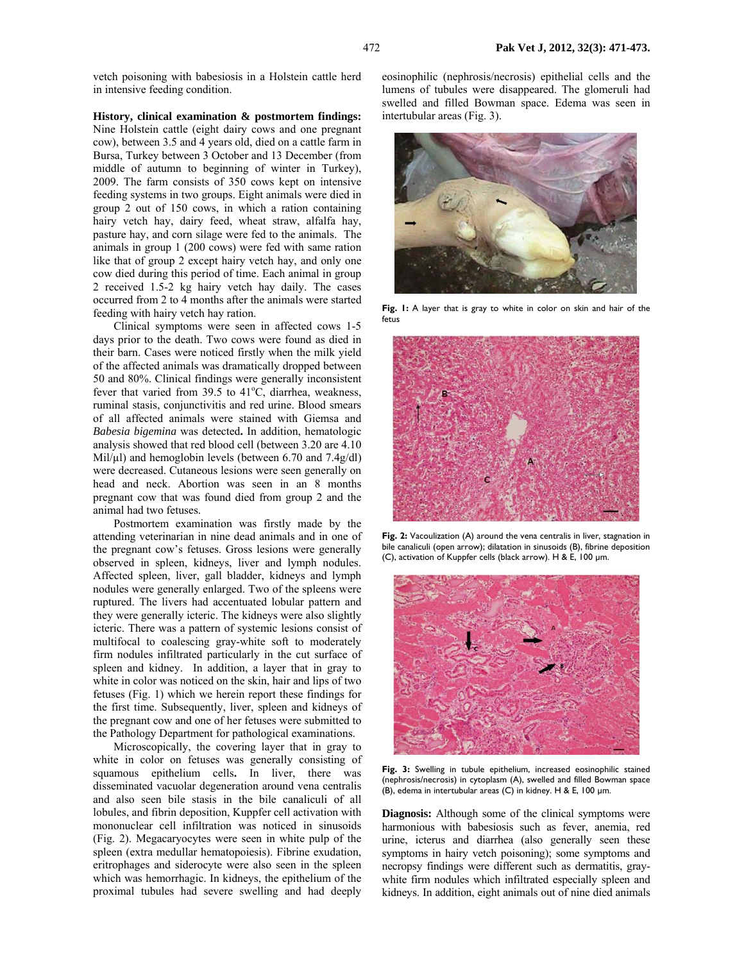vetch poisoning with babesiosis in a Holstein cattle herd in intensive feeding condition.

**History, clinical examination & postmortem findings:** 

Nine Holstein cattle (eight dairy cows and one pregnant cow), between 3.5 and 4 years old, died on a cattle farm in Bursa, Turkey between 3 October and 13 December (from middle of autumn to beginning of winter in Turkey), 2009. The farm consists of 350 cows kept on intensive feeding systems in two groups. Eight animals were died in group 2 out of 150 cows, in which a ration containing hairy vetch hay, dairy feed, wheat straw, alfalfa hay, pasture hay, and corn silage were fed to the animals. The animals in group 1 (200 cows) were fed with same ration like that of group 2 except hairy vetch hay, and only one cow died during this period of time. Each animal in group 2 received 1.5-2 kg hairy vetch hay daily. The cases occurred from 2 to 4 months after the animals were started feeding with hairy vetch hay ration.

Clinical symptoms were seen in affected cows 1-5 days prior to the death. Two cows were found as died in their barn. Cases were noticed firstly when the milk yield of the affected animals was dramatically dropped between 50 and 80%. Clinical findings were generally inconsistent fever that varied from  $39.5$  to  $41^{\circ}$ C, diarrhea, weakness, ruminal stasis, conjunctivitis and red urine. Blood smears of all affected animals were stained with Giemsa and *Babesia bigemina* was detected**.** In addition, hematologic analysis showed that red blood cell (between 3.20 are 4.10 Mil/µl) and hemoglobin levels (between 6.70 and 7.4g/dl) were decreased. Cutaneous lesions were seen generally on head and neck. Abortion was seen in an 8 months pregnant cow that was found died from group 2 and the animal had two fetuses.

Postmortem examination was firstly made by the attending veterinarian in nine dead animals and in one of the pregnant cow's fetuses. Gross lesions were generally observed in spleen, kidneys, liver and lymph nodules. Affected spleen, liver, gall bladder, kidneys and lymph nodules were generally enlarged. Two of the spleens were ruptured. The livers had accentuated lobular pattern and they were generally icteric. The kidneys were also slightly icteric. There was a pattern of systemic lesions consist of multifocal to coalescing gray-white soft to moderately firm nodules infiltrated particularly in the cut surface of spleen and kidney. In addition, a layer that in gray to white in color was noticed on the skin, hair and lips of two fetuses (Fig. 1) which we herein report these findings for the first time. Subsequently, liver, spleen and kidneys of the pregnant cow and one of her fetuses were submitted to the Pathology Department for pathological examinations.

Microscopically, the covering layer that in gray to white in color on fetuses was generally consisting of squamous epithelium cells**.** In liver, there was disseminated vacuolar degeneration around vena centralis and also seen bile stasis in the bile canaliculi of all lobules, and fibrin deposition, Kuppfer cell activation with mononuclear cell infiltration was noticed in sinusoids (Fig. 2). Megacaryocytes were seen in white pulp of the spleen (extra medullar hematopoiesis). Fibrine exudation, eritrophages and siderocyte were also seen in the spleen which was hemorrhagic. In kidneys, the epithelium of the proximal tubules had severe swelling and had deeply

eosinophilic (nephrosis/necrosis) epithelial cells and the lumens of tubules were disappeared. The glomeruli had swelled and filled Bowman space. Edema was seen in intertubular areas (Fig. 3).



**Fig. 1:** A layer that is gray to white in color on skin and hair of the fetus



**Fig. 2:** Vacoulization (A) around the vena centralis in liver, stagnation in bile canaliculi (open arrow); dilatation in sinusoids (B), fibrine deposition (C), activation of Kuppfer cells (black arrow). H & E, 100 µm.



Fig. 3: Swelling in tubule epithelium, increased eosinophilic stained (nephrosis/necrosis) in cytoplasm (A), swelled and filled Bowman space (B), edema in intertubular areas (C) in kidney. H & E, 100 µm.

**Diagnosis:** Although some of the clinical symptoms were harmonious with babesiosis such as fever, anemia, red urine, icterus and diarrhea (also generally seen these symptoms in hairy vetch poisoning); some symptoms and necropsy findings were different such as dermatitis, graywhite firm nodules which infiltrated especially spleen and kidneys. In addition, eight animals out of nine died animals